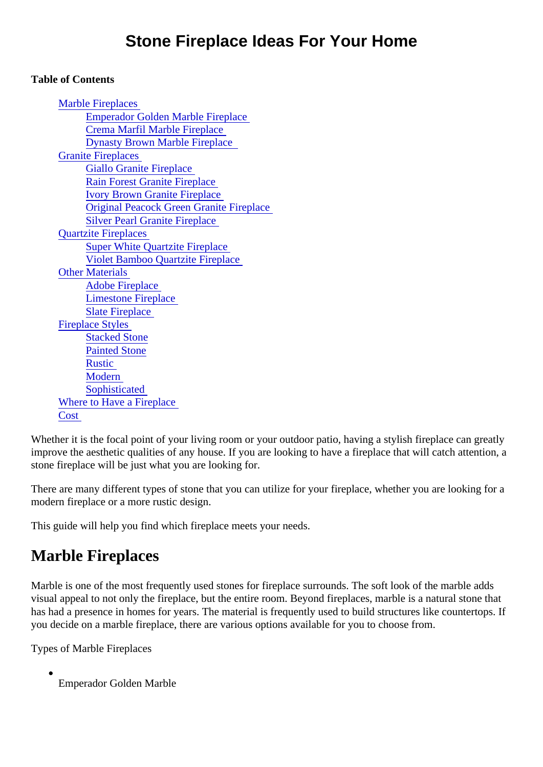#### Table of Contents

| <b>Marble Fireplaces</b>                        |
|-------------------------------------------------|
| <b>Emperador Golden Marble Fireplace</b>        |
| <b>Crema Marfil Marble Fireplace</b>            |
| <b>Dynasty Brown Marble Fireplace</b>           |
| <b>Granite Fireplaces</b>                       |
| <b>Giallo Granite Fireplace</b>                 |
| <b>Rain Forest Granite Fireplace</b>            |
| <b>Ivory Brown Granite Fireplace</b>            |
| <b>Original Peacock Green Granite Fireplace</b> |
| <b>Silver Pearl Granite Fireplace</b>           |
| <b>Quartzite Fireplaces</b>                     |
| <b>Super White Quartzite Fireplace</b>          |
| <b>Violet Bamboo Quartzite Fireplace</b>        |
| <b>Other Materials</b>                          |
| <b>Adobe Fireplace</b>                          |
| <b>Limestone Fireplace</b>                      |
| <b>Slate Fireplace</b>                          |
| <b>Fireplace Styles</b>                         |
| <b>Stacked Stone</b>                            |
| <b>Painted Stone</b>                            |
| <b>Rustic</b>                                   |
| <b>Modern</b>                                   |
| Sophisticated                                   |
| <b>Where to Have a Fireplace</b>                |
| Cost                                            |

Whether it is the focal point of your living room or your outdoor patio, having a stylish fireplace can greatly improve the aesthetic qualities of any house. If you are looking to have a fireplace that will catch attention, stone fireplace will be just what you are looking for.

There are many different types of stone that you can utilize for your fireplace, whether you are looking for a modern fireplace or a more rustic design.

This guide will help you find which fireplace meets your needs.

# Marble Fireplaces

Marble is one of the most frequently used stones for fireplace surrounds. The soft look of the marble adds visual appeal to not only the fireplace, but the entire room. Beyond fireplaces, marble is a natural stone that has had a presence in homes for years. The material is frequently used to build structures like countertops you decide on a marble fireplace, there are various options available for you to choose from.

Types of Marble Fireplaces

Emperador Golden Marble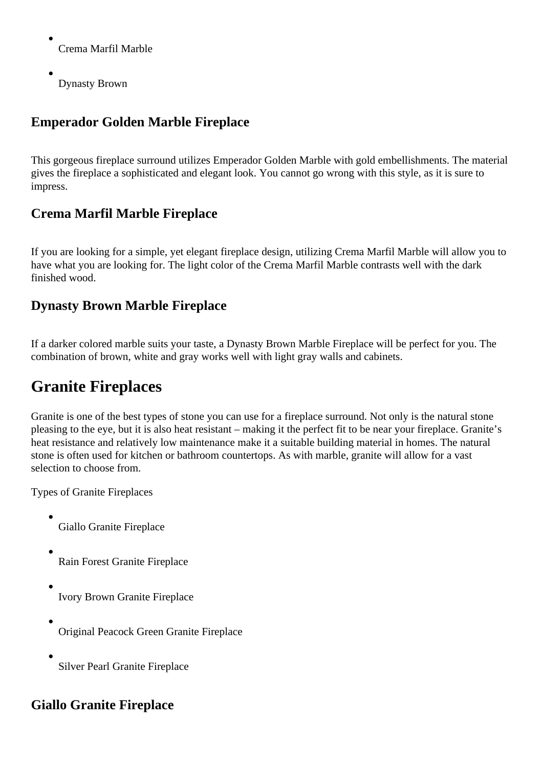<span id="page-1-0"></span>Crema Marfil Marble

Dynasty Brown

## **Emperador Golden Marble Fireplace**

This gorgeous fireplace surround utilizes Emperador Golden Marble with gold embellishments. The material gives the fireplace a sophisticated and elegant look. You cannot go wrong with this style, as it is sure to impress.

### **Crema Marfil Marble Fireplace**

If you are looking for a simple, yet elegant fireplace design, utilizing Crema Marfil Marble will allow you to have what you are looking for. The light color of the Crema Marfil Marble contrasts well with the dark finished wood.

### **Dynasty Brown Marble Fireplace**

If a darker colored marble suits your taste, a Dynasty Brown Marble Fireplace will be perfect for you. The combination of brown, white and gray works well with light gray walls and cabinets.

# **Granite Fireplaces**

Granite is one of the best types of stone you can use for a fireplace surround. Not only is the natural stone pleasing to the eye, but it is also heat resistant – making it the perfect fit to be near your fireplace. Granite's heat resistance and relatively low maintenance make it a suitable building material in homes. The natural stone is often used for kitchen or bathroom countertops. As with marble, granite will allow for a vast selection to choose from.

Types of Granite Fireplaces

- Giallo Granite Fireplace
- Rain Forest Granite Fireplace
- Ivory Brown Granite Fireplace
- Original Peacock Green Granite Fireplace
- Silver Pearl Granite Fireplace

### **Giallo Granite Fireplace**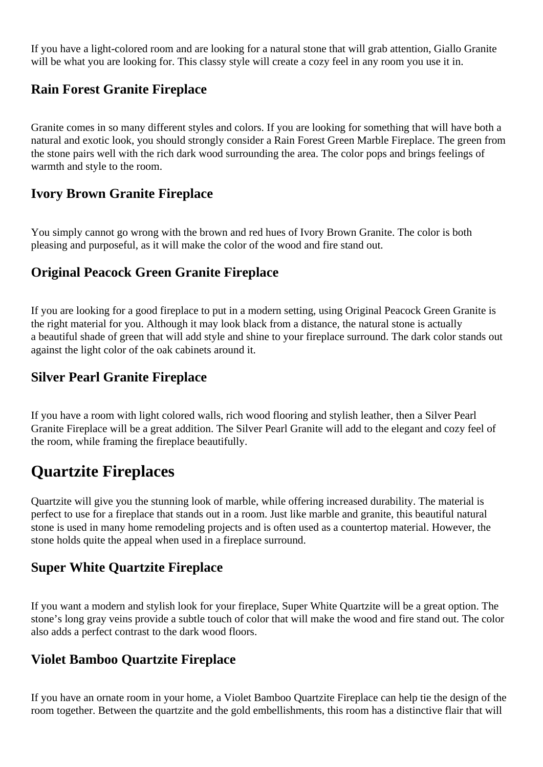<span id="page-2-0"></span>If you have a light-colored room and are looking for a natural stone that will grab attention, Giallo Granite will be what you are looking for. This classy style will create a cozy feel in any room you use it in.

### **Rain Forest Granite Fireplace**

Granite comes in so many different styles and colors. If you are looking for something that will have both a natural and exotic look, you should strongly consider a Rain Forest Green Marble Fireplace. The green from the stone pairs well with the rich dark wood surrounding the area. The color pops and brings feelings of warmth and style to the room.

#### **Ivory Brown Granite Fireplace**

You simply cannot go wrong with the brown and red hues of Ivory Brown Granite. The color is both pleasing and purposeful, as it will make the color of the wood and fire stand out.

### **Original Peacock Green Granite Fireplace**

If you are looking for a good fireplace to put in a modern setting, using Original Peacock Green Granite is the right material for you. Although it may look black from a distance, the natural stone is actually a beautiful shade of green that will add style and shine to your fireplace surround. The dark color stands out against the light color of the oak cabinets around it.

### **Silver Pearl Granite Fireplace**

If you have a room with light colored walls, rich wood flooring and stylish leather, then a Silver Pearl Granite Fireplace will be a great addition. The Silver Pearl Granite will add to the elegant and cozy feel of the room, while framing the fireplace beautifully.

## **Quartzite Fireplaces**

Quartzite will give you the stunning look of marble, while offering increased durability. The material is perfect to use for a fireplace that stands out in a room. Just like marble and granite, this beautiful natural stone is used in many home remodeling projects and is often used as a countertop material. However, the stone holds quite the appeal when used in a fireplace surround.

### **Super White Quartzite Fireplace**

If you want a modern and stylish look for your fireplace, Super White Quartzite will be a great option. The stone's long gray veins provide a subtle touch of color that will make the wood and fire stand out. The color also adds a perfect contrast to the dark wood floors.

### **Violet Bamboo Quartzite Fireplace**

If you have an ornate room in your home, a Violet Bamboo Quartzite Fireplace can help tie the design of the room together. Between the quartzite and the gold embellishments, this room has a distinctive flair that will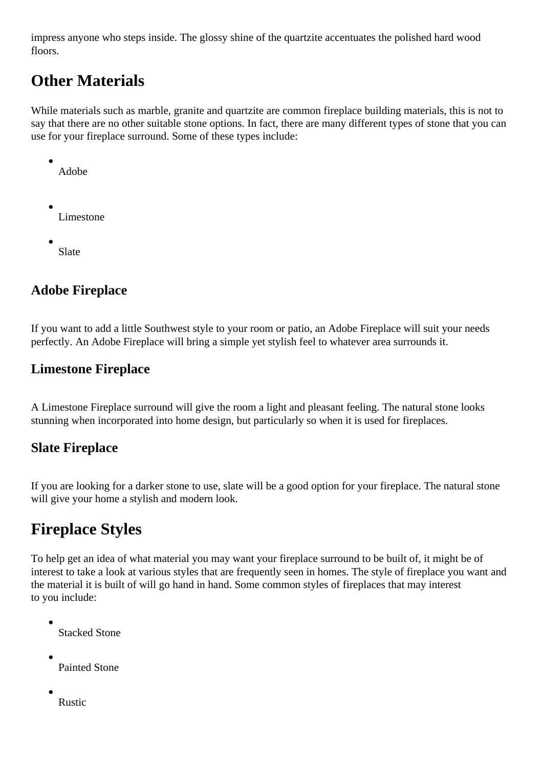<span id="page-3-0"></span>impress anyone who steps inside. The glossy shine of the quartzite accentuates the polished hard wood floors.

# **Other Materials**

While materials such as marble, granite and quartzite are common fireplace building materials, this is not to say that there are no other suitable stone options. In fact, there are many different types of stone that you can use for your fireplace surround. Some of these types include:

- Adobe
- Limestone
- Slate

## **Adobe Fireplace**

If you want to add a little Southwest style to your room or patio, an Adobe Fireplace will suit your needs perfectly. An Adobe Fireplace will bring a simple yet stylish feel to whatever area surrounds it.

### **Limestone Fireplace**

A Limestone Fireplace surround will give the room a light and pleasant feeling. The natural stone looks stunning when incorporated into home design, but particularly so when it is used for fireplaces.

### **Slate Fireplace**

If you are looking for a darker stone to use, slate will be a good option for your fireplace. The natural stone will give your home a stylish and modern look.

# **Fireplace Styles**

To help get an idea of what material you may want your fireplace surround to be built of, it might be of interest to take a look at various styles that are frequently seen in homes. The style of fireplace you want and the material it is built of will go hand in hand. Some common styles of fireplaces that may interest to you include:

- Stacked Stone
- Painted Stone
- Rustic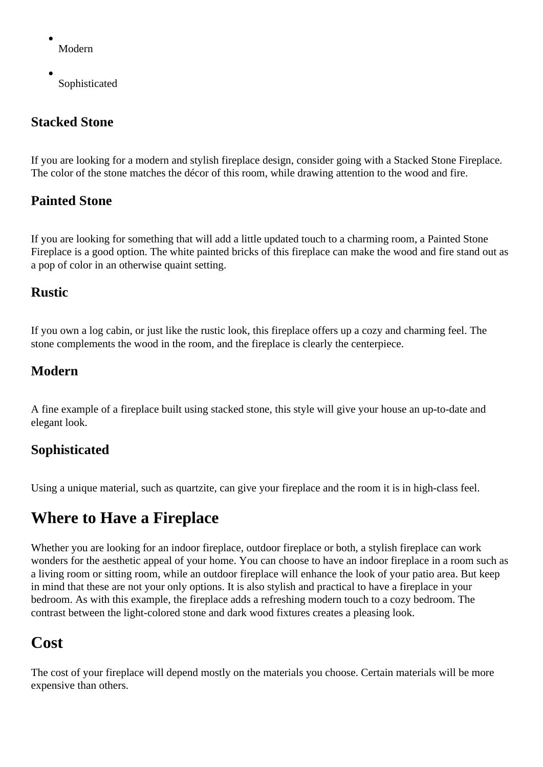- <span id="page-4-0"></span>Modern
- Sophisticated

### **Stacked Stone**

If you are looking for a modern and stylish fireplace design, consider going with a Stacked Stone Fireplace. The color of the stone matches the décor of this room, while drawing attention to the wood and fire.

### **Painted Stone**

If you are looking for something that will add a little updated touch to a charming room, a Painted Stone Fireplace is a good option. The white painted bricks of this fireplace can make the wood and fire stand out as a pop of color in an otherwise quaint setting.

### **Rustic**

If you own a log cabin, or just like the rustic look, this fireplace offers up a cozy and charming feel. The stone complements the wood in the room, and the fireplace is clearly the centerpiece.

#### **Modern**

A fine example of a fireplace built using stacked stone, this style will give your house an up-to-date and elegant look.

### **Sophisticated**

Using a unique material, such as quartzite, can give your fireplace and the room it is in high-class feel.

# **Where to Have a Fireplace**

Whether you are looking for an indoor fireplace, outdoor fireplace or both, a stylish fireplace can work wonders for the aesthetic appeal of your home. You can choose to have an indoor fireplace in a room such as a living room or sitting room, while an outdoor fireplace will enhance the look of your patio area. But keep in mind that these are not your only options. It is also stylish and practical to have a fireplace in your bedroom. As with this example, the fireplace adds a refreshing modern touch to a cozy bedroom. The contrast between the light-colored stone and dark wood fixtures creates a pleasing look.

## **Cost**

The cost of your fireplace will depend mostly on the materials you choose. Certain materials will be more expensive than others.